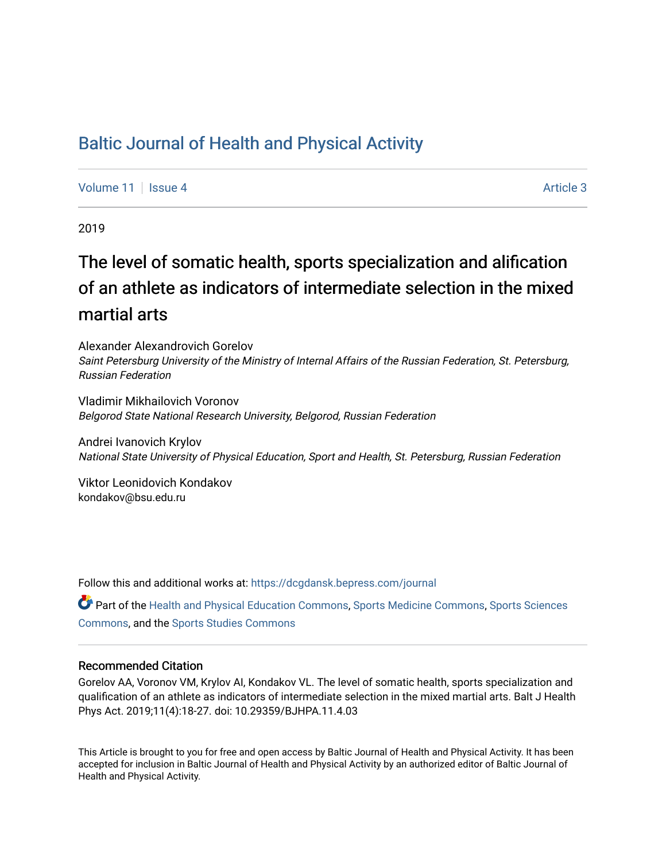## [Baltic Journal of Health and Physical Activity](https://dcgdansk.bepress.com/journal)

[Volume 11](https://dcgdansk.bepress.com/journal/vol11) | [Issue 4](https://dcgdansk.bepress.com/journal/vol11/iss4) Article 3

2019

# The level of somatic health, sports specialization and alification of an athlete as indicators of intermediate selection in the mixed martial arts

Alexander Alexandrovich Gorelov Saint Petersburg University of the Ministry of Internal Affairs of the Russian Federation, St. Petersburg, Russian Federation

Vladimir Mikhailovich Voronov Belgorod State National Research University, Belgorod, Russian Federation

Andrei Ivanovich Krylov National State University of Physical Education, Sport and Health, St. Petersburg, Russian Federation

Viktor Leonidovich Kondakov kondakov@bsu.edu.ru

Follow this and additional works at: [https://dcgdansk.bepress.com/journal](https://dcgdansk.bepress.com/journal?utm_source=dcgdansk.bepress.com%2Fjournal%2Fvol11%2Fiss4%2F3&utm_medium=PDF&utm_campaign=PDFCoverPages)

Part of the [Health and Physical Education Commons](http://network.bepress.com/hgg/discipline/1327?utm_source=dcgdansk.bepress.com%2Fjournal%2Fvol11%2Fiss4%2F3&utm_medium=PDF&utm_campaign=PDFCoverPages), [Sports Medicine Commons,](http://network.bepress.com/hgg/discipline/1331?utm_source=dcgdansk.bepress.com%2Fjournal%2Fvol11%2Fiss4%2F3&utm_medium=PDF&utm_campaign=PDFCoverPages) [Sports Sciences](http://network.bepress.com/hgg/discipline/759?utm_source=dcgdansk.bepress.com%2Fjournal%2Fvol11%2Fiss4%2F3&utm_medium=PDF&utm_campaign=PDFCoverPages) [Commons](http://network.bepress.com/hgg/discipline/759?utm_source=dcgdansk.bepress.com%2Fjournal%2Fvol11%2Fiss4%2F3&utm_medium=PDF&utm_campaign=PDFCoverPages), and the [Sports Studies Commons](http://network.bepress.com/hgg/discipline/1198?utm_source=dcgdansk.bepress.com%2Fjournal%2Fvol11%2Fiss4%2F3&utm_medium=PDF&utm_campaign=PDFCoverPages) 

#### Recommended Citation

Gorelov AA, Voronov VM, Krylov AI, Kondakov VL. The level of somatic health, sports specialization and qualification of an athlete as indicators of intermediate selection in the mixed martial arts. Balt J Health Phys Act. 2019;11(4):18-27. doi: 10.29359/BJHPA.11.4.03

This Article is brought to you for free and open access by Baltic Journal of Health and Physical Activity. It has been accepted for inclusion in Baltic Journal of Health and Physical Activity by an authorized editor of Baltic Journal of Health and Physical Activity.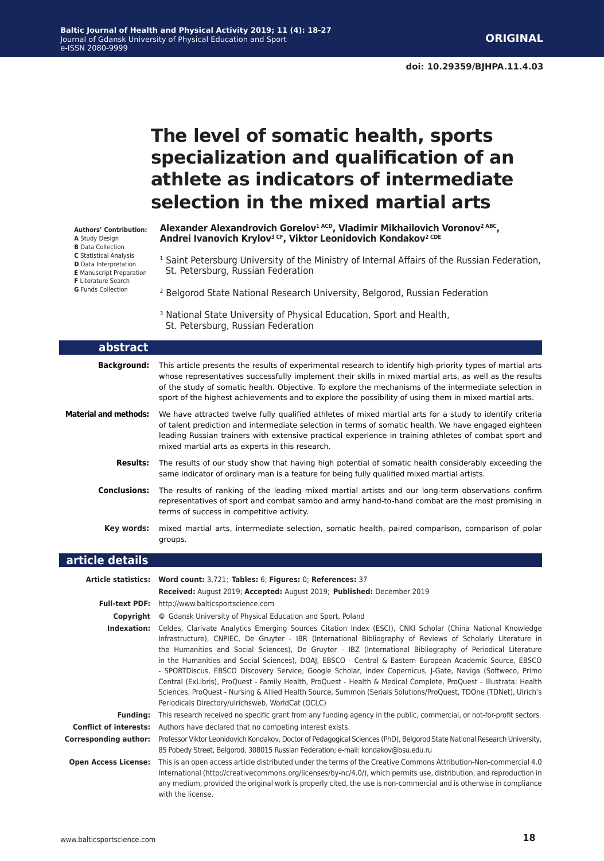## **The level of somatic health, sports specialization and qualification of an athlete as indicators of intermediate selection in the mixed martial arts**

| <b>Authors' Contribution:</b><br>A Study Design<br><b>B</b> Data Collection                                                                          | Alexander Alexandrovich Gorelov <sup>1 ACD</sup> , Vladimir Mikhailovich Voronov <sup>2 ABC</sup> ,<br>Andrei Ivanovich Krylov <sup>3 CF</sup> , Viktor Leonidovich Kondakov <sup>2 CDE</sup> |
|------------------------------------------------------------------------------------------------------------------------------------------------------|-----------------------------------------------------------------------------------------------------------------------------------------------------------------------------------------------|
| <b>C</b> Statistical Analysis<br>D Data Interpretation<br><b>E</b> Manuscript Preparation<br><b>F</b> Literature Search<br><b>G</b> Funds Collection | <sup>1</sup> Saint Petersburg University of the Ministry of Internal Affairs of the Russian Federation,<br>St. Petersburg, Russian Federation                                                 |
|                                                                                                                                                      | <sup>2</sup> Belgorod State National Research University, Belgorod, Russian Federation                                                                                                        |
|                                                                                                                                                      | <sup>3</sup> National State University of Physical Education, Sport and Health,<br>St. Petersburg, Russian Federation                                                                         |
| abstract                                                                                                                                             |                                                                                                                                                                                               |
| Background:                                                                                                                                          | This article presents the results of experimental research to identify high-priority types of martial arts                                                                                    |

| <b>Background:</b>    | This article presents the results of experimental research to identify high-priority types of martial arts<br>whose representatives successfully implement their skills in mixed martial arts, as well as the results<br>of the study of somatic health. Objective. To explore the mechanisms of the intermediate selection in<br>sport of the highest achievements and to explore the possibility of using them in mixed martial arts. |
|-----------------------|-----------------------------------------------------------------------------------------------------------------------------------------------------------------------------------------------------------------------------------------------------------------------------------------------------------------------------------------------------------------------------------------------------------------------------------------|
| Material and methods: | We have attracted twelve fully qualified athletes of mixed martial arts for a study to identify criteria<br>of talent prediction and intermediate selection in terms of somatic health. We have engaged eighteen<br>leading Russian trainers with extensive practical experience in training athletes of combat sport and<br>mixed martial arts as experts in this research.                                                            |
| <b>Results:</b>       | The results of our study show that having high potential of somatic health considerably exceeding the<br>same indicator of ordinary man is a feature for being fully qualified mixed martial artists.                                                                                                                                                                                                                                   |
| <b>Conclusions:</b>   | The results of ranking of the leading mixed martial artists and our long-term observations confirm<br>representatives of sport and combat sambo and army hand-to-hand combat are the most promising in<br>terms of success in competitive activity.                                                                                                                                                                                     |
| Key words:            | mixed martial arts, intermediate selection, somatic health, paired comparison, comparison of polar<br>groups.                                                                                                                                                                                                                                                                                                                           |
| article details       |                                                                                                                                                                                                                                                                                                                                                                                                                                         |

|                               | Article statistics: Word count: 3,721; Tables: 6; Figures: 0; References: 37                                                                                                                                                                                                                                                                                                                                                                                                                                                                                                                                                                                                                                                                                                                                                                                  |
|-------------------------------|---------------------------------------------------------------------------------------------------------------------------------------------------------------------------------------------------------------------------------------------------------------------------------------------------------------------------------------------------------------------------------------------------------------------------------------------------------------------------------------------------------------------------------------------------------------------------------------------------------------------------------------------------------------------------------------------------------------------------------------------------------------------------------------------------------------------------------------------------------------|
|                               | <b>Received:</b> August 2019; <b>Accepted:</b> August 2019; <b>Published:</b> December 2019                                                                                                                                                                                                                                                                                                                                                                                                                                                                                                                                                                                                                                                                                                                                                                   |
|                               | <b>Full-text PDF:</b> http://www.balticsportscience.com                                                                                                                                                                                                                                                                                                                                                                                                                                                                                                                                                                                                                                                                                                                                                                                                       |
| Copyright                     | © Gdansk University of Physical Education and Sport, Poland                                                                                                                                                                                                                                                                                                                                                                                                                                                                                                                                                                                                                                                                                                                                                                                                   |
| Indexation:                   | Celdes, Clarivate Analytics Emerging Sources Citation Index (ESCI), CNKI Scholar (China National Knowledge<br>Infrastructure), CNPIEC, De Gruyter - IBR (International Bibliography of Reviews of Scholarly Literature in<br>the Humanities and Social Sciences), De Gruyter - IBZ (International Bibliography of Periodical Literature<br>in the Humanities and Social Sciences), DOAJ, EBSCO - Central & Eastern European Academic Source, EBSCO<br>- SPORTDiscus, EBSCO Discovery Service, Google Scholar, Index Copernicus, J-Gate, Naviga (Softweco, Primo<br>Central (ExLibris), ProQuest - Family Health, ProQuest - Health & Medical Complete, ProQuest - Illustrata: Health<br>Sciences, ProQuest - Nursing & Allied Health Source, Summon (Serials Solutions/ProQuest, TDOne (TDNet), Ulrich's<br>Periodicals Directory/ulrichsweb, WorldCat (OCLC) |
| <b>Funding:</b>               | This research received no specific grant from any funding agency in the public, commercial, or not-for-profit sectors.                                                                                                                                                                                                                                                                                                                                                                                                                                                                                                                                                                                                                                                                                                                                        |
| <b>Conflict of interests:</b> | Authors have declared that no competing interest exists.                                                                                                                                                                                                                                                                                                                                                                                                                                                                                                                                                                                                                                                                                                                                                                                                      |
| <b>Corresponding author:</b>  | Professor Viktor Leonidovich Kondakov, Doctor of Pedagogical Sciences (PhD), Belgorod State National Research University,<br>85 Pobedy Street, Belgorod, 308015 Russian Federation; e-mail: kondakov@bsu.edu.ru                                                                                                                                                                                                                                                                                                                                                                                                                                                                                                                                                                                                                                               |
| <b>Open Access License:</b>   | This is an open access article distributed under the terms of the Creative Commons Attribution-Non-commercial 4.0<br>International (http://creativecommons.org/licenses/by-nc/4.0/), which permits use, distribution, and reproduction in<br>any medium, provided the original work is properly cited, the use is non-commercial and is otherwise in compliance<br>with the license.                                                                                                                                                                                                                                                                                                                                                                                                                                                                          |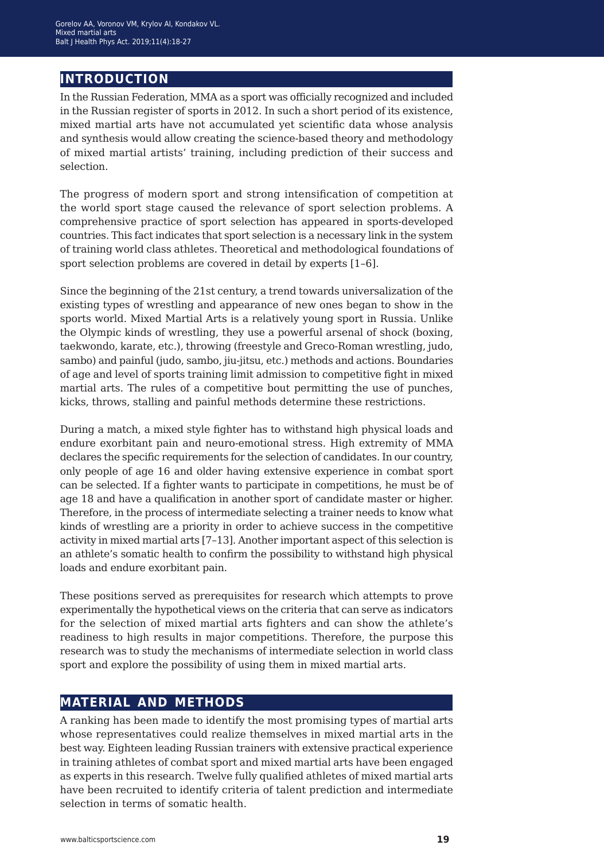### **introduction**

In the Russian Federation, MMA as a sport was officially recognized and included in the Russian register of sports in 2012. In such a short period of its existence, mixed martial arts have not accumulated yet scientific data whose analysis and synthesis would allow creating the science-based theory and methodology of mixed martial artists' training, including prediction of their success and selection.

The progress of modern sport and strong intensification of competition at the world sport stage caused the relevance of sport selection problems. A comprehensive practice of sport selection has appeared in sports-developed countries. This fact indicates that sport selection is a necessary link in the system of training world class athletes. Theoretical and methodological foundations of sport selection problems are covered in detail by experts [1–6].

Since the beginning of the 21st century, a trend towards universalization of the existing types of wrestling and appearance of new ones began to show in the sports world. Mixed Martial Arts is a relatively young sport in Russia. Unlike the Olympic kinds of wrestling, they use a powerful arsenal of shock (boxing, taekwondo, karate, etc.), throwing (freestyle and Greco-Roman wrestling, judo, sambo) and painful (judo, sambo, jiu-jitsu, etc.) methods and actions. Boundaries of age and level of sports training limit admission to competitive fight in mixed martial arts. The rules of a competitive bout permitting the use of punches, kicks, throws, stalling and painful methods determine these restrictions.

During a match, a mixed style fighter has to withstand high physical loads and endure exorbitant pain and neuro-emotional stress. High extremity of MMA declares the specific requirements for the selection of candidates. In our country, only people of age 16 and older having extensive experience in combat sport can be selected. If a fighter wants to participate in competitions, he must be of age 18 and have a qualification in another sport of candidate master or higher. Therefore, in the process of intermediate selecting a trainer needs to know what kinds of wrestling are a priority in order to achieve success in the competitive activity in mixed martial arts [7–13]. Another important aspect of this selection is an athlete's somatic health to confirm the possibility to withstand high physical loads and endure exorbitant pain.

These positions served as prerequisites for research which attempts to prove experimentally the hypothetical views on the criteria that can serve as indicators for the selection of mixed martial arts fighters and can show the athlete's readiness to high results in major competitions. Therefore, the purpose this research was to study the mechanisms of intermediate selection in world class sport and explore the possibility of using them in mixed martial arts.

### **material and methods**

A ranking has been made to identify the most promising types of martial arts whose representatives could realize themselves in mixed martial arts in the best way. Eighteen leading Russian trainers with extensive practical experience in training athletes of combat sport and mixed martial arts have been engaged as experts in this research. Twelve fully qualified athletes of mixed martial arts have been recruited to identify criteria of talent prediction and intermediate selection in terms of somatic health.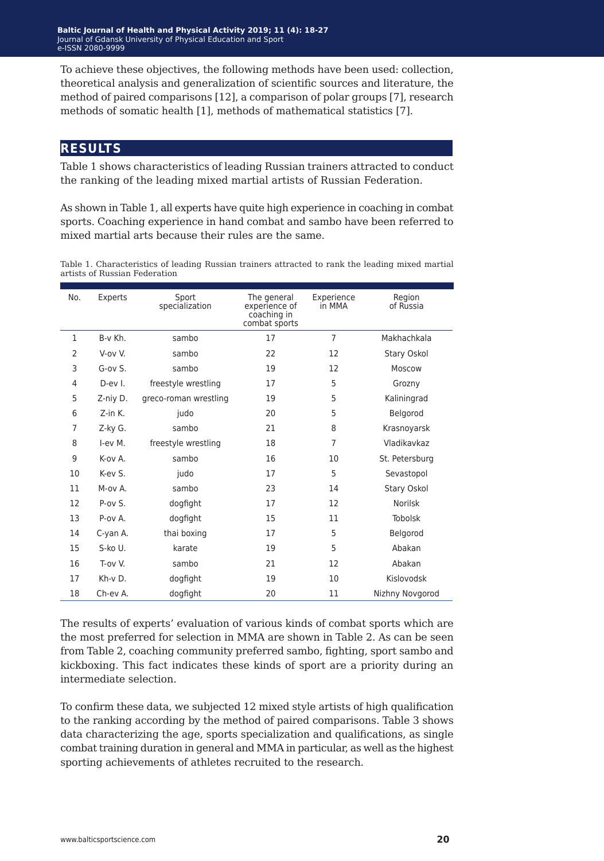Baltic Journal of Health and Physical Activity 2019; 11 (4): 18-27 Journal of Gdansk University of Physical Education and Sport Journal of Gdansk University of Physical Education and Sport e-ISSN 2080-9999 e-ISSN 2080-9999

To achieve these objectives, the following methods have been used: collection, theoretical analysis and generalization of scientific sources and literature, the method of paired comparisons [12], a comparison of polar groups [7], research methods of somatic health [1], methods of mathematical statistics [7].

#### **results**

Table 1 shows characteristics of leading Russian trainers attracted to conduct the ranking of the leading mixed martial artists of Russian Federation.

As shown in Table 1, all experts have quite high experience in coaching in combat sports. Coaching experience in hand combat and sambo have been referred to mixed martial arts because their rules are the same.

Table 1. Characteristics of leading Russian trainers attracted to rank the leading mixed martial artists of Russian Federation

| No.            | Experts                  | Sport<br>specialization | The general<br>experience of<br>coaching in<br>combat sports | Experience<br>in MMA | Region<br>of Russia |
|----------------|--------------------------|-------------------------|--------------------------------------------------------------|----------------------|---------------------|
| $\mathbf{1}$   | B-v Kh.                  | sambo                   | 17                                                           | $\overline{7}$       | Makhachkala         |
| $\overline{2}$ | V-ov V.                  | sambo                   | 22                                                           | 12                   | Stary Oskol         |
| 3              | $G$ -ov $S$ .            | sambo                   | 19                                                           | 12                   | Moscow              |
| 4              | D-ev I.                  | freestyle wrestling     | 17                                                           | 5                    | Grozny              |
| 5              | Z-niy D.                 | greco-roman wrestling   | 19                                                           | 5                    | Kaliningrad         |
| 6              | Z-in K.                  | judo                    | 20                                                           | 5                    | Belgorod            |
| 7              | Z-ky G.                  | sambo                   | 21                                                           | 8                    | Krasnoyarsk         |
| 8              | I-ev M.                  | freestyle wrestling     | 18                                                           | 7                    | Vladikavkaz         |
| 9              | $K$ - $\alpha$ $\vee$ A. | sambo                   | 16                                                           | 10                   | St. Petersburg      |
| 10             | K-ev S.                  | judo                    | 17                                                           | 5                    | Sevastopol          |
| 11             | M-ov A.                  | sambo                   | 23                                                           | 14                   | Stary Oskol         |
| 12             | P-ov S.                  | dogfight                | 17                                                           | 12                   | Norilsk             |
| 13             | P-ov A.                  | dogfight                | 15                                                           | 11                   | <b>Tobolsk</b>      |
| 14             | C-yan A.                 | thai boxing             | 17                                                           | 5                    | Belgorod            |
| 15             | S-ko U.                  | karate                  | 19                                                           | 5                    | Abakan              |
| 16             | T-ov V.                  | sambo                   | 21                                                           | 12                   | Abakan              |
| 17             | Kh-v D.                  | dogfight                | 19                                                           | 10                   | Kislovodsk          |
| 18             | Ch-ev A.                 | dogfight                | 20                                                           | 11                   | Nizhny Novgorod     |

The results of experts' evaluation of various kinds of combat sports which are the most preferred for selection in MMA are shown in Table 2. As can be seen from Table 2, coaching community preferred sambo, fighting, sport sambo and kickboxing. This fact indicates these kinds of sport are a priority during an intermediate selection.

To confirm these data, we subjected 12 mixed style artists of high qualification to the ranking according by the method of paired comparisons. Table 3 shows data characterizing the age, sports specialization and qualifications, as single combat training duration in general and MMA in particular, as well as the highest sporting achievements of athletes recruited to the research.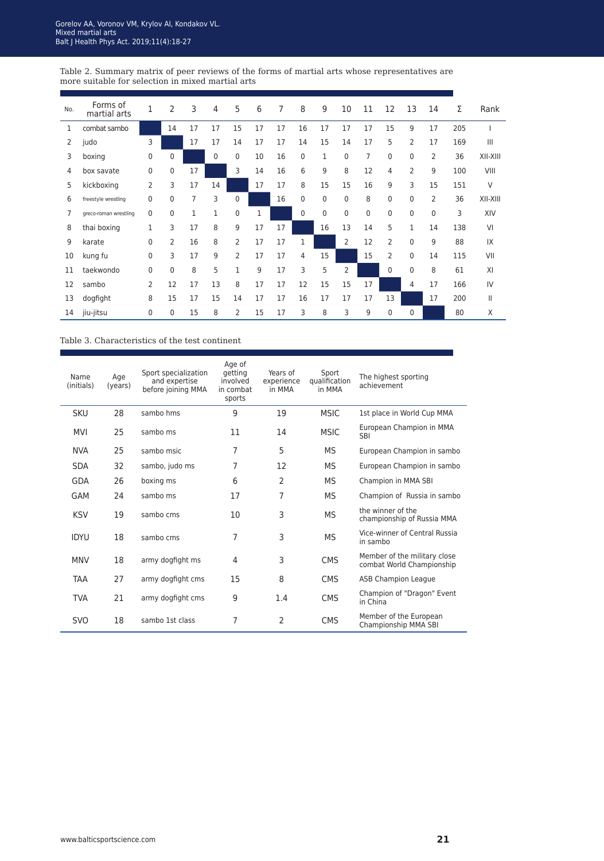Table 2. Summary matrix of peer reviews of the forms of martial arts whose representatives are more suitable for selection in mixed martial arts

| No. | Forms of<br>martial arts | 1        | 2           | 3  | 4        | 5            | 6  | 7  | 8              | 9  | 10       | 11 | 12            | 13             | 14             | Σ   | Rank            |
|-----|--------------------------|----------|-------------|----|----------|--------------|----|----|----------------|----|----------|----|---------------|----------------|----------------|-----|-----------------|
| 1   | combat sambo             |          | 14          | 17 | 17       | 15           | 17 | 17 | 16             | 17 | 17       | 17 | 15            | 9              | 17             | 205 |                 |
| 2   | judo                     | 3        |             | 17 | 17       | 14           | 17 | 17 | 14             | 15 | 14       | 17 | 5             | $\overline{2}$ | 17             | 169 | $\mathbf{III}$  |
| 3   | boxing                   | 0        | $\mathbf 0$ |    | $\Omega$ | $\mathbf 0$  | 10 | 16 | $\mathbf 0$    | 1  | $\Omega$ | 7  | $\Omega$      | $\Omega$       | $\overline{2}$ | 36  | <b>XII-XIII</b> |
| 4   | box savate               | $\Omega$ | 0           | 17 |          | 3            | 14 | 16 | 6              | 9  | 8        | 12 | 4             | 2              | 9              | 100 | VIII            |
| 5   | kickboxing               | 2        | 3           | 17 | 14       |              | 17 | 17 | 8              | 15 | 15       | 16 | 9             | 3              | 15             | 151 | $\vee$          |
| 6   | freestyle wrestling      | $\Omega$ | 0           | 7  | 3        | $\mathbf{0}$ |    | 16 | $\mathbf 0$    | 0  | $\Omega$ | 8  | $\mathbf{0}$  | $\Omega$       | $\overline{2}$ | 36  | XII-XIII        |
| 7   | greco-roman wrestling    | $\Omega$ | 0           | 1  | 1        | $\mathbf 0$  | 1  |    | $\mathbf 0$    | 0  | $\Omega$ | 0  | 0             | $\mathbf 0$    | $\mathbf 0$    | 3   | XIV             |
| 8   | thai boxing              | 1        | 3           | 17 | 8        | 9            | 17 | 17 |                | 16 | 13       | 14 | 5             | 1              | 14             | 138 | VI              |
| 9   | karate                   | 0        | 2           | 16 | 8        | 2            | 17 | 17 | 1              |    | 2        | 12 | $\mathcal{P}$ | $\Omega$       | 9              | 88  | IX              |
| 10  | kung fu                  | 0        | 3           | 17 | 9        | 2            | 17 | 17 | $\overline{4}$ | 15 |          | 15 | 2             | $\Omega$       | 14             | 115 | VII             |
| 11  | taekwondo                | 0        | 0           | 8  | 5        | 1            | 9  | 17 | 3              | 5  | 2        |    | $\Omega$      | $\Omega$       | 8              | 61  | XI              |
| 12  | sambo                    | 2        | 12          | 17 | 13       | 8            | 17 | 17 | 12             | 15 | 15       | 17 |               | 4              | 17             | 166 | IV              |
| 13  | dogfight                 | 8        | 15          | 17 | 15       | 14           | 17 | 17 | 16             | 17 | 17       | 17 | 13            |                | 17             | 200 | $\mathbf{II}$   |
| 14  | jiu-jitsu                | 0        | 0           | 15 | 8        | 2            | 15 | 17 | 3              | 8  | 3        | 9  | 0             | $\Omega$       |                | 80  | X               |

#### Table 3. Characteristics of the test continent

| Name<br>(initials) | Age<br>(years) | Sport specialization<br>and expertise<br>before joining MMA | Age of<br>getting<br>involved<br>in combat<br>sports | Years of<br>experience<br>in MMA | Sport<br>qualification<br>in MMA | The highest sporting<br>achievement                       |
|--------------------|----------------|-------------------------------------------------------------|------------------------------------------------------|----------------------------------|----------------------------------|-----------------------------------------------------------|
| <b>SKU</b>         | 28             | sambo hms                                                   | 9                                                    | 19                               | <b>MSIC</b>                      | 1st place in World Cup MMA                                |
| <b>MVI</b>         | 25             | sambo ms                                                    | 11                                                   | 14                               | <b>MSIC</b>                      | European Champion in MMA<br><b>SBI</b>                    |
| <b>NVA</b>         | 25             | sambo msic                                                  | 7                                                    | 5                                | MS.                              | European Champion in sambo                                |
| <b>SDA</b>         | 32             | sambo, judo ms                                              | 7                                                    | 12                               | MS                               | European Champion in sambo                                |
| GDA                | 26             | boxing ms                                                   | 6                                                    | 2                                | MS                               | Champion in MMA SBI                                       |
| GAM                | 24             | sambo ms                                                    | 17                                                   | 7                                | MS                               | Champion of Russia in sambo                               |
| <b>KSV</b>         | 19             | sambo cms                                                   | 10                                                   | 3                                | <b>MS</b>                        | the winner of the<br>championship of Russia MMA           |
| <b>IDYU</b>        | 18             | sambo cms                                                   | 7                                                    | 3                                | <b>MS</b>                        | Vice-winner of Central Russia<br>in sambo                 |
| <b>MNV</b>         | 18             | army dogfight ms                                            | 4                                                    | 3                                | <b>CMS</b>                       | Member of the military close<br>combat World Championship |
| <b>TAA</b>         | 27             | army dogfight cms                                           | 15                                                   | 8                                | <b>CMS</b>                       | <b>ASB Champion League</b>                                |
| <b>TVA</b>         | 21             | army dogfight cms                                           | 9                                                    | 1.4                              | <b>CMS</b>                       | Champion of "Dragon" Event<br>in China                    |
| <b>SVO</b>         | 18             | sambo 1st class                                             | 7                                                    | 2                                | <b>CMS</b>                       | Member of the European<br>Championship MMA SBI            |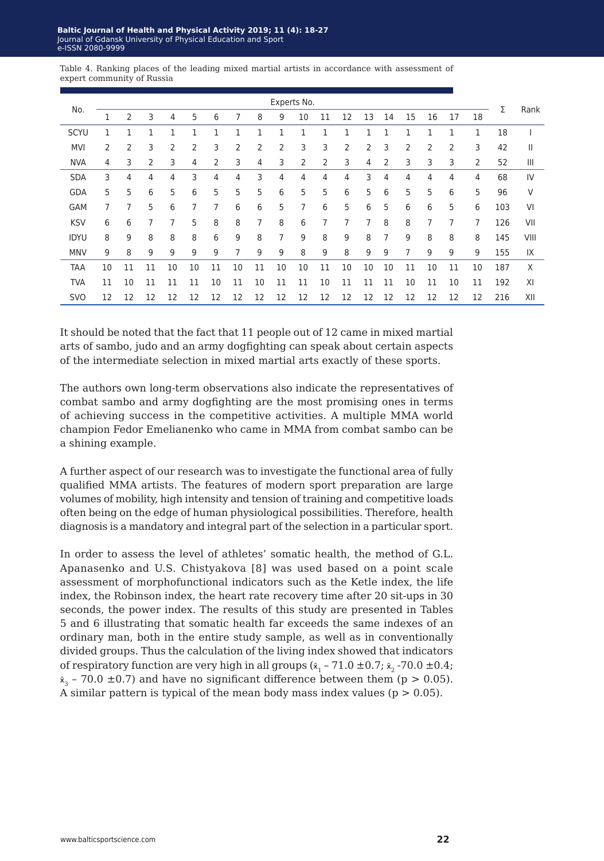|                            |  |  |  | Table 4. Ranking places of the leading mixed martial artists in accordance with assessment of |  |  |
|----------------------------|--|--|--|-----------------------------------------------------------------------------------------------|--|--|
| expert community of Russia |  |  |  |                                                                                               |  |  |

|             |    |              |    |    |    |    |    |                |                | Experts No. |    |    |    |    |    |    |    |    |     |      |
|-------------|----|--------------|----|----|----|----|----|----------------|----------------|-------------|----|----|----|----|----|----|----|----|-----|------|
| No.         |    | 2            | 3  | 4  | 5  | 6  |    | 8              | 9              | 10          | 11 | 12 | 13 | 14 | 15 | 16 | 17 | 18 | Σ   | Rank |
| SCYU        |    | $\mathbf{1}$ |    |    | 1  |    | 1  | $\mathbf{1}$   |                | 1           |    | 1  |    | 1  |    | 1  | 1  | 1  | 18  |      |
| <b>MVI</b>  | 2  | 2            | 3  | 2  | 2  | 3  | 2  | $\overline{2}$ | $\overline{2}$ | 3           | 3  | 2  | 2  | 3  | 2  | 2  | 2  | 3  | 42  | Ш    |
| <b>NVA</b>  | 4  | 3            | 2  | 3  | 4  | 2  | 3  | 4              | 3              | 2           | 2  | 3  | 4  | 2  | 3  | 3  | 3  | 2  | 52  | Ш    |
| <b>SDA</b>  | 3  | 4            | 4  | 4  | 3  | 4  | 4  | 3              | 4              | 4           | 4  | 4  | 3  | 4  | 4  | 4  | 4  | 4  | 68  | IV   |
| <b>GDA</b>  | 5  | 5            | 6  | 5  | 6  | 5  | 5  | 5              | 6              | 5           | 5  | 6  | 5  | 6  | 5  | 5  | 6  | 5  | 96  | V    |
| <b>GAM</b>  | 7  | 7            | 5  | 6  | 7  | 7  | 6  | 6              | 5              | 7           | 6  | 5  | 6  | 5  | 6  | 6  | 5  | 6  | 103 | VI   |
| <b>KSV</b>  | 6  | 6            | 7  | 7  | 5  | 8  | 8  | 7              | 8              | 6           | 7  | 7  | 7  | 8  | 8  | 7  | 7  | 7  | 126 | VII  |
| <b>IDYU</b> | 8  | 9            | 8  | 8  | 8  | 6  | 9  | 8              | 7              | 9           | 8  | 9  | 8  | 7  | 9  | 8  | 8  | 8  | 145 | VIII |
| <b>MNV</b>  | 9  | 8            | 9  | 9  | 9  | 9  | 7  | 9              | 9              | 8           | 9  | 8  | 9  | 9  | 7  | 9  | 9  | 9  | 155 | IX   |
| TAA         | 10 | 11           | 11 | 10 | 10 | 11 | 10 | 11             | 10             | 10          | 11 | 10 | 10 | 10 | 11 | 10 | 11 | 10 | 187 | Χ    |
| <b>TVA</b>  | 11 | 10           | 11 | 11 | 11 | 10 | 11 | 10             | 11             | 11          | 10 | 11 | 11 | 11 | 10 | 11 | 10 | 11 | 192 | XI   |
| <b>SVO</b>  | 12 | 12           | 12 | 12 | 12 | 12 | 12 | 12             | 12             | 12          | 12 | 12 | 12 | 12 | 12 | 12 | 12 | 12 | 216 | XII  |

It should be noted that the fact that 11 people out of 12 came in mixed martial arts of sambo, judo and an army dogfighting can speak about certain aspects of the intermediate selection in mixed martial arts exactly of these sports.

The authors own long-term observations also indicate the representatives of combat sambo and army dogfighting are the most promising ones in terms of achieving success in the competitive activities. A multiple MMA world champion Fedor Emelianenko who came in MMA from combat sambo can be a shining example.

A further aspect of our research was to investigate the functional area of fully qualified MMA artists. The features of modern sport preparation are large volumes of mobility, high intensity and tension of training and competitive loads often being on the edge of human physiological possibilities. Therefore, health diagnosis is a mandatory and integral part of the selection in a particular sport.

In order to assess the level of athletes' somatic health, the method of G.L. Apanasenko and U.S. Chistyakova [8] was used based on a point scale assessment of morphofunctional indicators such as the Ketle index, the life index, the Robinson index, the heart rate recovery time after 20 sit-ups in 30 seconds, the power index. The results of this study are presented in Tables 5 and 6 illustrating that somatic health far exceeds the same indexes of an ordinary man, both in the entire study sample, as well as in conventionally divided groups. Thus the calculation of the living index showed that indicators of respiratory function are very high in all groups  $(x_1 - 71.0 \pm 0.7; x_2 - 70.0 \pm 0.4;$  $\bar{x}_3$  – 70.0  $\pm$ 0.7) and have no significant difference between them (p > 0.05). A similar pattern is typical of the mean body mass index values ( $p > 0.05$ ).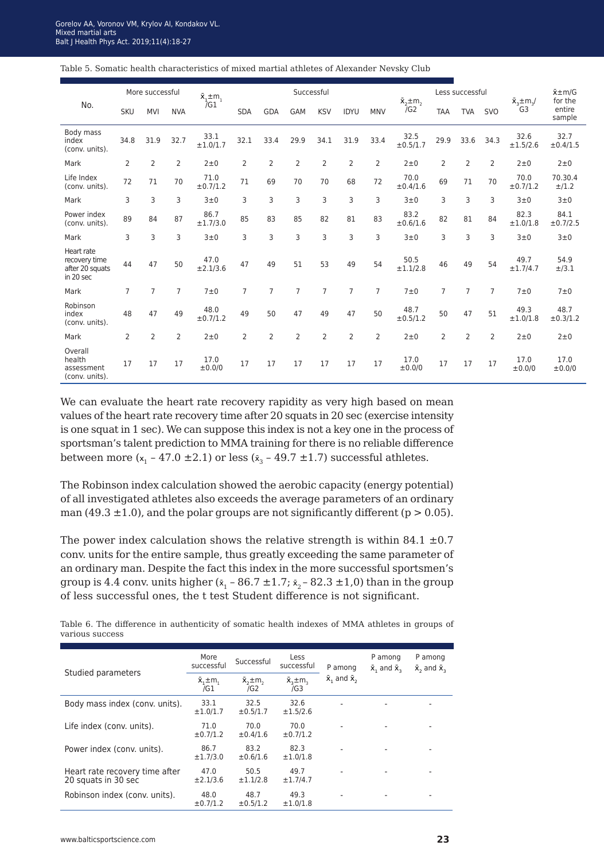Table 5. Somatic health characteristics of mixed martial athletes of Alexander Nevsky Club

|                                                             | More successful |                |                | $\bar{\mathsf{x}}_1 \pm \mathsf{m}_1$ | Successful |                |                |                |                |                | $\bar{x}_{2}$ ± m <sub>2</sub> |                | Less successful |                | $\bar{x}_{3}$ ±m <sub>3</sub> / | $\bar{x}$ ± m/G<br>for the |
|-------------------------------------------------------------|-----------------|----------------|----------------|---------------------------------------|------------|----------------|----------------|----------------|----------------|----------------|--------------------------------|----------------|-----------------|----------------|---------------------------------|----------------------------|
| No.                                                         | <b>SKU</b>      | <b>MVI</b>     | <b>NVA</b>     | $\overline{G}1$                       | <b>SDA</b> | <b>GDA</b>     | GAM            | <b>KSV</b>     | <b>IDYU</b>    | <b>MNV</b>     | 7G2                            | <b>TAA</b>     | <b>TVA</b>      | <b>SVO</b>     | G <sub>3</sub>                  | entire<br>sample           |
| Body mass<br>index<br>(conv. units).                        | 34.8            | 31.9           | 32.7           | 33.1<br>±1.0/1.7                      | 32.1       | 33.4           | 29.9           | 34.1           | 31.9           | 33.4           | 32.5<br>±0.5/1.7               | 29.9           | 33.6            | 34.3           | 32.6<br>±1.5/2.6                | 32.7<br>±0.4/1.5           |
| Mark                                                        | $\overline{2}$  | $\overline{2}$ | $\overline{2}$ | $2\pm 0$                              | 2          | $\overline{2}$ | $\overline{2}$ | $\overline{2}$ | $\overline{2}$ | $\overline{2}$ | $2\pm 0$                       | $\overline{2}$ | $\overline{2}$  | $\overline{2}$ | $2\pm 0$                        | $2\pm 0$                   |
| Life Index<br>(conv. units).                                | 72              | 71             | 70             | 71.0<br>±0.7/1.2                      | 71         | 69             | 70             | 70             | 68             | 72             | 70.0<br>±0.4/1.6               | 69             | 71              | 70             | 70.0<br>±0.7/1.2                | 70.30.4<br>±/1.2           |
| Mark                                                        | 3               | 3              | 3              | 3±0                                   | 3          | 3              | 3              | 3              | 3              | 3              | 3±0                            | 3              | 3               | 3              | 3±0                             | 3±0                        |
| Power index<br>(conv. units).                               | 89              | 84             | 87             | 86.7<br>±1.7/3.0                      | 85         | 83             | 85             | 82             | 81             | 83             | 83.2<br>±0.6/1.6               | 82             | 81              | 84             | 82.3<br>±1.0/1.8                | 84.1<br>±0.7/2.5           |
| Mark                                                        | 3               | 3              | 3              | 3±0                                   | 3          | 3              | 3              | 3              | 3              | 3              | 3±0                            | 3              | 3               | 3              | 3±0                             | 3±0                        |
| Heart rate<br>recovery time<br>after 20 squats<br>in 20 sec | 44              | 47             | 50             | 47.0<br>±2.1/3.6                      | 47         | 49             | 51             | 53             | 49             | 54             | 50.5<br>±1.1/2.8               | 46             | 49              | 54             | 49.7<br>±1.7/4.7                | 54.9<br>±/3.1              |
| Mark                                                        | $\overline{7}$  | 7              | 7              | 7±0                                   | 7          | 7              | $\overline{7}$ | $\overline{7}$ | $\overline{7}$ | $\overline{7}$ | 7±0                            | 7              | $\overline{7}$  | 7              | 7 ± 0                           | 7 ± 0                      |
| Robinson<br>index<br>(conv. units).                         | 48              | 47             | 49             | 48.0<br>±0.7/1.2                      | 49         | 50             | 47             | 49             | 47             | 50             | 48.7<br>±0.5/1.2               | 50             | 47              | 51             | 49.3<br>±1.0/1.8                | 48.7<br>±0.3/1.2           |
| Mark                                                        | $\overline{2}$  | $\overline{2}$ | $\overline{2}$ | $2\pm 0$                              | 2          | 2              | $\overline{2}$ | $\overline{2}$ | $\overline{2}$ | $\overline{2}$ | $2\pm 0$                       | $\overline{2}$ | $\overline{2}$  | $\overline{2}$ | $2\pm 0$                        | $2\pm 0$                   |
| Overall<br>health<br>assessment<br>(conv. units).           | 17              | 17             | 17             | 17.0<br>±0.0/0                        | 17         | 17             | 17             | 17             | 17             | 17             | 17.0<br>±0.0/0                 | 17             | 17              | 17             | 17.0<br>±0.0/0                  | 17.0<br>±0.0/0             |

We can evaluate the heart rate recovery rapidity as very high based on mean values of the heart rate recovery time after 20 squats in 20 sec (exercise intensity is one squat in 1 sec). We can suppose this index is not a key one in the process of sportsman's talent prediction to MMA training for there is no reliable difference between more  $(x_1 - 47.0 \pm 2.1)$  or less  $(\bar{x}_3 - 49.7 \pm 1.7)$  successful athletes.

The Robinson index calculation showed the aerobic capacity (energy potential) of all investigated athletes also exceeds the average parameters of an ordinary man (49.3  $\pm$ 1.0), and the polar groups are not significantly different (p > 0.05).

The power index calculation shows the relative strength is within 84.1  $\pm$ 0.7 conv. units for the entire sample, thus greatly exceeding the same parameter of an ordinary man. Despite the fact this index in the more successful sportsmen's group is 4.4 conv. units higher  $(x_1 - 86.7 \pm 1.7; x_2 - 82.3 \pm 1.0)$  than in the group of less successful ones, the t test Student difference is not significant.

Table 6. The difference in authenticity of somatic health indexes of MMA athletes in groups of various success

|                                                       | More<br>successful                                                   | Successful       | Less<br>successful                        | P among                     | P among<br>$\bar{x}$ , and $\bar{x}$ , | P among<br>$\bar{x}$ , and $\bar{x}$ , |
|-------------------------------------------------------|----------------------------------------------------------------------|------------------|-------------------------------------------|-----------------------------|----------------------------------------|----------------------------------------|
| Studied parameters                                    | $\bar{x}, \pm m$<br>$\bar{x}_{2}$ $\pm$ m <sub>2</sub><br>/G2<br>/G1 |                  | $\bar{x}_{1}$ $\pm$ m <sub>3</sub><br>/G3 | $\bar{x}$ , and $\bar{x}$ , |                                        |                                        |
| Body mass index (conv. units).                        | 33.1<br>±1.0/1.7                                                     | 32.5<br>±0.5/1.7 | 32.6<br>±1.5/2.6                          | ۰                           |                                        | ۰                                      |
| Life index (conv. units).                             | 71.0<br>±0.7/1.2                                                     | 70.0<br>±0.4/1.6 | 70.0<br>±0.7/1.2                          |                             |                                        |                                        |
| Power index (conv. units).                            | 86.7<br>±1.7/3.0                                                     | 83.2<br>±0.6/1.6 | 82.3<br>±1.0/1.8                          |                             |                                        | ۰                                      |
| Heart rate recovery time after<br>20 squats in 30 sec | 47.0<br>±2.1/3.6                                                     | 50.5<br>±1.1/2.8 | 49.7<br>±1.7/4.7                          |                             |                                        |                                        |
| Robinson index (conv. units).                         | 48.0<br>±0.7/1.2                                                     | 48.7<br>±0.5/1.2 | 49.3<br>±1.0/1.8                          |                             |                                        |                                        |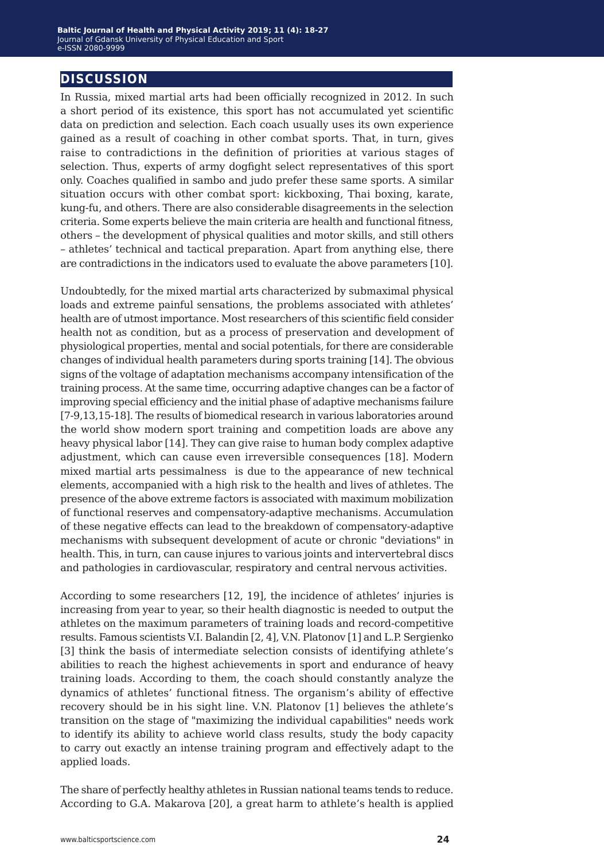#### **discussion**

In Russia, mixed martial arts had been officially recognized in 2012. In such a short period of its existence, this sport has not accumulated yet scientific data on prediction and selection. Each coach usually uses its own experience gained as a result of coaching in other combat sports. That, in turn, gives raise to contradictions in the definition of priorities at various stages of selection. Thus, experts of army dogfight select representatives of this sport only. Coaches qualified in sambo and judo prefer these same sports. A similar situation occurs with other combat sport: kickboxing, Thai boxing, karate, kung-fu, and others. There are also considerable disagreements in the selection criteria. Some experts believe the main criteria are health and functional fitness, others – the development of physical qualities and motor skills, and still others – athletes' technical and tactical preparation. Apart from anything else, there are contradictions in the indicators used to evaluate the above parameters [10].

Undoubtedly, for the mixed martial arts characterized by submaximal physical loads and extreme painful sensations, the problems associated with athletes' health are of utmost importance. Most researchers of this scientific field consider health not as condition, but as a process of preservation and development of physiological properties, mental and social potentials, for there are considerable changes of individual health parameters during sports training [14]. The obvious signs of the voltage of adaptation mechanisms accompany intensification of the training process. At the same time, occurring adaptive changes can be a factor of improving special efficiency and the initial phase of adaptive mechanisms failure [7-9,13,15-18]. The results of biomedical research in various laboratories around the world show modern sport training and competition loads are above any heavy physical labor [14]. They can give raise to human body complex adaptive adjustment, which can cause even irreversible consequences [18]. Modern mixed martial arts pessimalness is due to the appearance of new technical elements, accompanied with a high risk to the health and lives of athletes. The presence of the above extreme factors is associated with maximum mobilization of functional reserves and compensatory-adaptive mechanisms. Accumulation of these negative effects can lead to the breakdown of compensatory-adaptive mechanisms with subsequent development of acute or chronic "deviations" in health. This, in turn, can cause injures to various joints and intervertebral discs and pathologies in cardiovascular, respiratory and central nervous activities.

According to some researchers [12, 19], the incidence of athletes' injuries is increasing from year to year, so their health diagnostic is needed to output the athletes on the maximum parameters of training loads and record-competitive results. Famous scientists V.I. Balandin [2, 4], V.N. Platonov [1] and L.P. Sergienko [3] think the basis of intermediate selection consists of identifying athlete's abilities to reach the highest achievements in sport and endurance of heavy training loads. According to them, the coach should constantly analyze the dynamics of athletes' functional fitness. The organism's ability of effective recovery should be in his sight line. V.N. Platonov [1] believes the athlete's transition on the stage of "maximizing the individual capabilities" needs work to identify its ability to achieve world class results, study the body capacity to carry out exactly an intense training program and effectively adapt to the applied loads.

The share of perfectly healthy athletes in Russian national teams tends to reduce. According to G.A. Makarova [20], a great harm to athlete's health is applied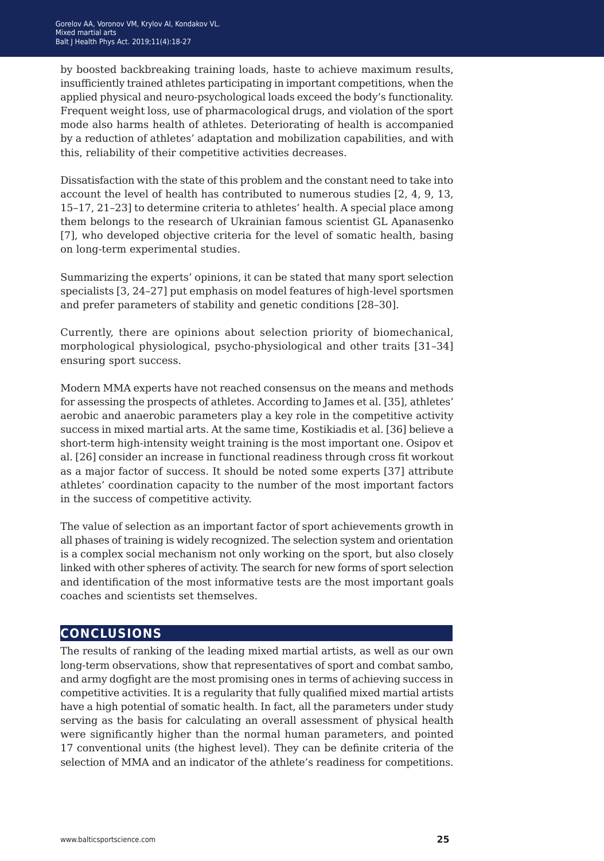by boosted backbreaking training loads, haste to achieve maximum results, insufficiently trained athletes participating in important competitions, when the applied physical and neuro-psychological loads exceed the body's functionality. Frequent weight loss, use of pharmacological drugs, and violation of the sport mode also harms health of athletes. Deteriorating of health is accompanied by a reduction of athletes' adaptation and mobilization capabilities, and with this, reliability of their competitive activities decreases.

Dissatisfaction with the state of this problem and the constant need to take into account the level of health has contributed to numerous studies [2, 4, 9, 13, 15–17, 21–23] to determine criteria to athletes' health. A special place among them belongs to the research of Ukrainian famous scientist GL Apanasenko [7], who developed objective criteria for the level of somatic health, basing on long-term experimental studies.

Summarizing the experts' opinions, it can be stated that many sport selection specialists [3, 24–27] put emphasis on model features of high-level sportsmen and prefer parameters of stability and genetic conditions [28–30].

Currently, there are opinions about selection priority of biomechanical, morphological physiological, psycho-physiological and other traits [31–34] ensuring sport success.

Modern MMA experts have not reached consensus on the means and methods for assessing the prospects of athletes. According to James et al. [35], athletes' aerobic and anaerobic parameters play a key role in the competitive activity success in mixed martial arts. At the same time, Kostikiadis et al. [36] believe a short-term high-intensity weight training is the most important one. Osipov et al. [26] consider an increase in functional readiness through cross fit workout as a major factor of success. It should be noted some experts [37] attribute athletes' coordination capacity to the number of the most important factors in the success of competitive activity.

The value of selection as an important factor of sport achievements growth in all phases of training is widely recognized. The selection system and orientation is a complex social mechanism not only working on the sport, but also closely linked with other spheres of activity. The search for new forms of sport selection and identification of the most informative tests are the most important goals coaches and scientists set themselves.

### **conclusions**

The results of ranking of the leading mixed martial artists, as well as our own long-term observations, show that representatives of sport and combat sambo, and army dogfight are the most promising ones in terms of achieving success in competitive activities. It is a regularity that fully qualified mixed martial artists have a high potential of somatic health. In fact, all the parameters under study serving as the basis for calculating an overall assessment of physical health were significantly higher than the normal human parameters, and pointed 17 conventional units (the highest level). They can be definite criteria of the selection of MMA and an indicator of the athlete's readiness for competitions.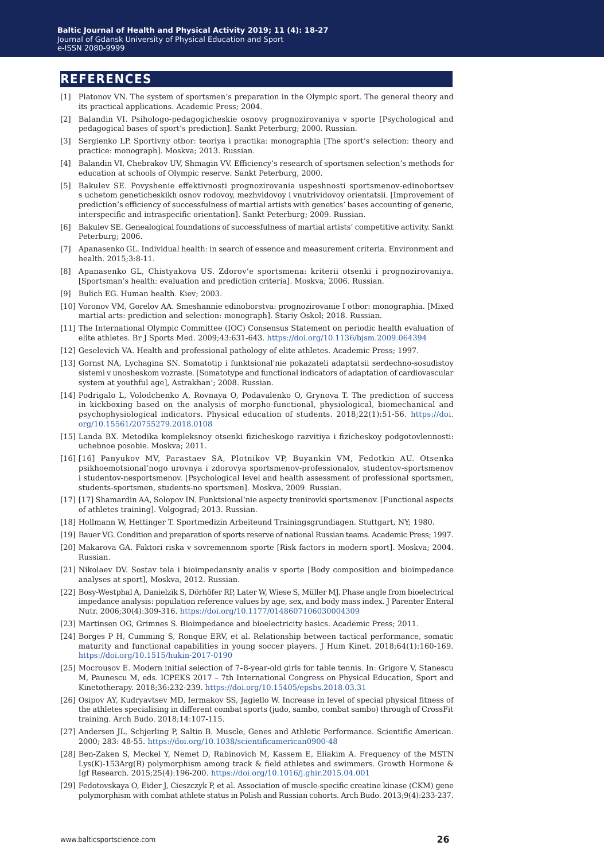#### **references**

- [1] Platonov VN. The system of sportsmen's preparation in the Olympic sport. The general theory and its practical applications. Academic Press; 2004.
- [2] Balandin VI. Psihologo-pedagogicheskie osnovy prognozirovaniya v sporte [Psychological and pedagogical bases of sport's prediction]. Sankt Peterburg; 2000. Russian.
- [3] Sergienko LP. Sportivny otbor: teoriya i practika: monographia [The sport's selection: theory and practice: monograph]. Moskva; 2013. Russian.
- [4] Balandin VI, Chebrakov UV, Shmagin VV. Efficiency's research of sportsmen selection's methods for education at schools of Olympic reserve. Sankt Peterburg, 2000.
- [5] Bakulev SE. Povyshenie effektivnosti prognozirovania uspeshnosti sportsmenov-edinobortsev s uchetom geneticheskikh osnov rodovoy, mezhvidovoy i vnutrividovoy orientatsii. [Improvement of prediction's efficiency of successfulness of martial artists with genetics' bases accounting of generic, interspecific and intraspecific orientation]. Sankt Peterburg; 2009. Russian.
- [6] Bakulev SE. Genealogical foundations of successfulness of martial artists' competitive activity. Sankt Peterburg; 2006.
- [7] Apanasenko GL. Individual health: in search of essence and measurement criteria. Environment and health. 2015;3:8-11.
- [8] Apanasenko GL, Chistyakova US. Zdorov'e sportsmena: kriterii otsenki i prognozirovaniya. [Sportsman's health: evaluation and prediction criteria]. Moskva; 2006. Russian.
- [9] Bulich EG. Human health. Kiev; 2003.
- [10] Voronov VM, Gorelov AA. Smeshannie edinoborstva: prognozirovanie I otbor: monographia. [Mixed martial arts: prediction and selection: monograph]. Stariy Oskol; 2018. Russian.
- [11] The International Olympic Committee (IOC) Consensus Statement on periodic health evaluation of elite athletes. Br J Sports Med. 2009;43:631-643. [https://doi.org/10.1136/bjsm.2009.064394](https://doi.org/10.1136/bjsm.2009.064394
)
- [12] Geselevich VA. Health and professional pathology of elite athletes. Academic Press; 1997.
- [13] Gornst NA, Lychagina SN. Somatotip i funktsional'nie pokazateli adaptatsii serdechno-sosudistoy sistemi v unosheskom vozraste. [Somatotype and functional indicators of adaptation of cardiovascular system at youthful age], Astrakhan'; 2008. Russian.
- [14] Podrigalo L, Volodchenko A, Rovnaya O, Podavalenko O, Grynova T. The prediction of success in kickboxing based on the analysis of morpho-functional, physiological, biomechanical and psychophysiological indicators. Physical education of students. 2018;22(1):51-56. [https://doi.](https://doi.org/10.15561/20755279.2018.0108
) [org/10.15561/20755279.2018.0108](https://doi.org/10.15561/20755279.2018.0108
)
- [15] Landa BХ. Metodika kompleksnoy otsenki fizicheskogo razvitiya i fizicheskoy podgotovlennosti: uchebnoe posobie. Moskva; 2011.
- [16] [16] Panyukov MV, Parastaev SA, Plotnikov VP, Buyankin VM, Fedotkin AU. Otsenka psikhoemotsional'nogo urovnya i zdorovya sportsmenov-professionalov, studentov-sportsmenov i studentov-nesportsmenov. [Psychological level and health assessment of professional sportsmen, students-sportsmen, students-no sportsmen]. Moskva, 2009. Russian.
- [17] [17] Shamardin AA, Solopov IN. Funktsional'nie aspecty trenirovki sportsmenov. [Functional aspects of athletes training]. Volgograd; 2013. Russian.
- [18] Hollmann W, Hettinger T. Sportmedizin Arbeiteund Trainingsgrundiagen. Stuttgart, NY; 1980.
- [19] Bauer VG. Condition and preparation of sports reserve of national Russian teams. Academic Press; 1997.
- [20] Makarova GA. Faktori riska v sovremennom sporte [Risk factors in modern sport]. Moskva; 2004. Russian.
- [21] Nikolaev DV. Sostav tela i bioimpedansniy analis v sporte [Body composition and bioimpedance analyses at sport], Moskva, 2012. Russian.
- [22] Bosy-Westphal A, Danielzik S, Dörhöfer RP, Later W, Wiese S, Müller MJ. Phase angle from bioelectrical impedance analysis: population reference values by age, sex, and body mass index. J Parenter Enteral Nutr. 2006;30(4):309-316.<https://doi.org/10.1177/0148607106030004309>
- [23] Martinsen OG, Grimnes S. Bioimpedance and bioelectricity basics. Academic Press; 2011.
- [24] Borges P H, Cumming S, Ronque ERV, et al. Relationship between tactical performance, somatic maturity and functional capabilities in young soccer players. J Hum Kinet. 2018;64(1):160-169. <https://doi.org/10.1515/hukin-2017-0190>
- [25] Mocrousov E. Modern initial selection of 7–8-year-old girls for table tennis. In: Grigore V, Stanescu M, Paunescu M, eds. ICPEKS 2017 – 7th International Congress on Physical Education, Sport and Kinetotherapy. 2018;36:232-239. <https://doi.org/10.15405/epsbs.2018.03.31>
- [26] Osipov AY, Kudryavtsev MD, Iermakov SS, Jagiello W. Increase in level of special physical fitness of the athletes specialising in different combat sports (judo, sambo, combat sambo) through of CrossFit training. Arch Budo. 2018;14:107-115.
- [27] Andersen JL, Schjerling P, Saltin B. Muscle, Genes and Athletic Performance. Scientific American. 2000; 283: 48-55. <https://doi.org/10.1038/scientificamerican0900-48>
- [28] Ben-Zaken S, Meckel Y, Nemet D, Rabinovich M, Kassem E, Eliakim A. Frequency of the MSTN Lys(K)-153Arg(R) polymorphism among track & field athletes and swimmers. Growth Hormone & Igf Research. 2015;25(4):196-200.<https://doi.org/10.1016/j.ghir.2015.04.001>
- [29] Fedotovskaya O, Eider J, Cieszczyk P, et al. Association of muscle-specific creatine kinase (CKM) gene polymorphism with combat athlete status in Polish and Russian cohorts. Arch Budo. 2013;9(4):233-237.